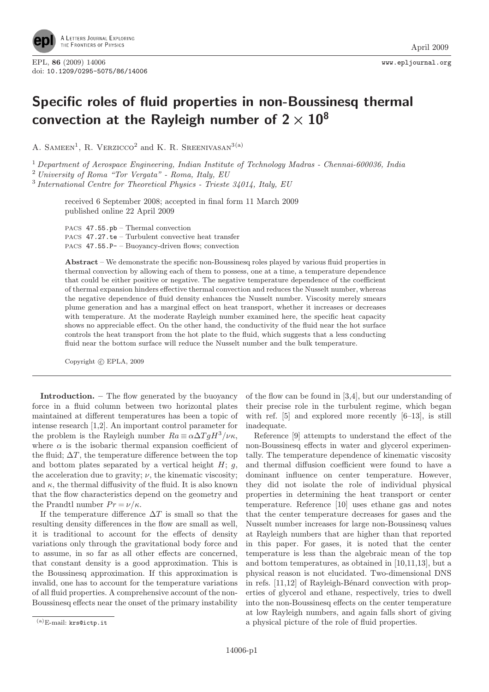

## Specific roles of fluid properties in non-Boussinesq thermal convection at the Rayleigh number of  $2 \times 10^8$

A. SAMEEN<sup>1</sup>, R. VERZICCO<sup>2</sup> and K. R. SREENIVASAN<sup>3(a)</sup>

<sup>1</sup> Department of Aerospace Engineering, Indian Institute of Technology Madras - Chennai-600036, India <sup>2</sup> University of Roma "Tor Vergata" - Roma, Italy, EU

 $3$  International Centre for Theoretical Physics - Trieste  $34014$ , Italy, EU

received 6 September 2008; accepted in final form 11 March 2009 published online 22 April 2009

PACS 47.55.pb – Thermal convection PACS 47.27.te – Turbulent convective heat transfer PACS 47.55.P- – Buoyancy-driven flows; convection

Abstract – We demonstrate the specific non-Boussinesq roles played by various fluid properties in thermal convection by allowing each of them to possess, one at a time, a temperature dependence that could be either positive or negative. The negative temperature dependence of the coefficient of thermal expansion hinders effective thermal convection and reduces the Nusselt number, whereas the negative dependence of fluid density enhances the Nusselt number. Viscosity merely smears plume generation and has a marginal effect on heat transport, whether it increases or decreases with temperature. At the moderate Rayleigh number examined here, the specific heat capacity shows no appreciable effect. On the other hand, the conductivity of the fluid near the hot surface controls the heat transport from the hot plate to the fluid, which suggests that a less conducting fluid near the bottom surface will reduce the Nusselt number and the bulk temperature.

Copyright  $\odot$  EPLA, 2009

Introduction. – The flow generated by the buoyancy force in a fluid column between two horizontal plates maintained at different temperatures has been a topic of intense research [1,2]. An important control parameter for the problem is the Rayleigh number  $Ra \equiv \alpha \Delta T g H^3 / \nu \kappa$ , where  $\alpha$  is the isobaric thermal expansion coefficient of the fluid;  $\Delta T$ , the temperature difference between the top and bottom plates separated by a vertical height  $H$ ;  $g$ , the acceleration due to gravity;  $\nu$ , the kinematic viscosity; and  $\kappa$ , the thermal diffusivity of the fluid. It is also known that the flow characteristics depend on the geometry and the Prandtl number  $Pr = \nu/\kappa$ .

If the temperature difference  $\Delta T$  is small so that the resulting density differences in the flow are small as well, it is traditional to account for the effects of density variations only through the gravitational body force and to assume, in so far as all other effects are concerned, that constant density is a good approximation. This is the Boussinesq approximation. If this approximation is invalid, one has to account for the temperature variations of all fluid properties. A comprehensive account of the non-Boussinesq effects near the onset of the primary instability of the flow can be found in [3,4], but our understanding of their precise role in the turbulent regime, which began with ref. [5] and explored more recently [6–13], is still inadequate.

Reference [9] attempts to understand the effect of the non-Boussinesq effects in water and glycerol experimentally. The temperature dependence of kinematic viscosity and thermal diffusion coefficient were found to have a dominant influence on center temperature. However, they did not isolate the role of individual physical properties in determining the heat transport or center temperature. Reference [10] uses ethane gas and notes that the center temperature decreases for gases and the Nusselt number increases for large non-Boussinesq values at Rayleigh numbers that are higher than that reported in this paper. For gases, it is noted that the center temperature is less than the algebraic mean of the top and bottom temperatures, as obtained in [10,11,13], but a physical reason is not elucidated. Two-dimensional DNS in refs.  $[11,12]$  of Rayleigh-Bénard convection with properties of glycerol and ethane, respectively, tries to dwell into the non-Boussinesq effects on the center temperature at low Rayleigh numbers, and again falls short of giving a physical picture of the role of fluid properties.

<sup>(</sup>a)E-mail: krs@ictp.it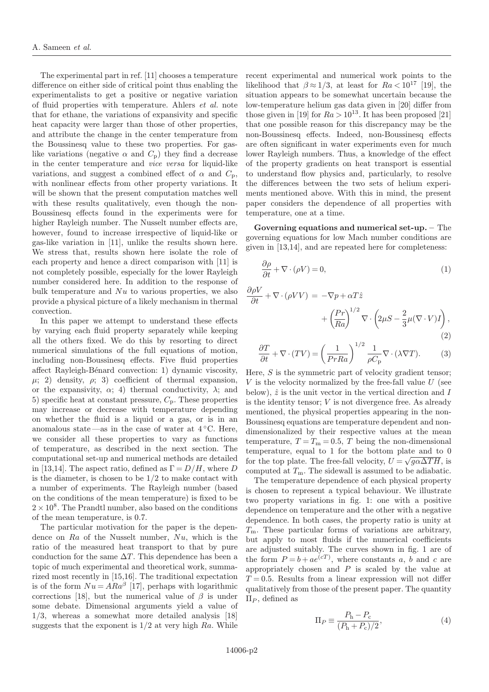The experimental part in ref. [11] chooses a temperature difference on either side of critical point thus enabling the experimentalists to get a positive or negative variation of fluid properties with temperature. Ahlers et al. note that for ethane, the variations of expansivity and specific heat capacity were larger than those of other properties. and attribute the change in the center temperature from the Boussinesq value to these two properties. For gaslike variations (negative  $\alpha$  and  $C_p$ ) they find a decrease in the center temperature and vice versa for liquid-like variations, and suggest a combined effect of  $\alpha$  and  $C_p$ , with nonlinear effects from other property variations. It will be shown that the present computation matches well with these results qualitatively, even though the non-Boussinesq effects found in the experiments were for higher Rayleigh number. The Nusselt number effects are, however, found to increase irrespective of liquid-like or gas-like variation in [11], unlike the results shown here. We stress that, results shown here isolate the role of each property and hence a direct comparison with [11] is not completely possible, especially for the lower Rayleigh number considered here. In addition to the response of bulk temperature and  $Nu$  to various properties, we also provide a physical picture of a likely mechanism in thermal convection.

In this paper we attempt to understand these effects by varying each fluid property separately while keeping all the others fixed. We do this by resorting to direct numerical simulations of the full equations of motion, including non-Boussinesq effects. Five fluid properties affect Rayleigh-Bénard convection: 1) dynamic viscosity,  $\mu$ ; 2) density,  $\rho$ ; 3) coefficient of thermal expansion, or the expansivity,  $\alpha$ ; 4) thermal conductivity,  $\lambda$ ; and 5) specific heat at constant pressure,  $C_{p}$ . These properties may increase or decrease with temperature depending on whether the fluid is a liquid or a gas, or is in an anomalous state —as in the case of water at  $4 °C$ . Here, we consider all these properties to vary as functions of temperature, as described in the next section. The computational set-up and numerical methods are detailed in [13,14]. The aspect ratio, defined as  $\Gamma = D/H$ , where D is the diameter, is chosen to be  $1/2$  to make contact with a number of experiments. The Rayleigh number (based on the conditions of the mean temperature) is fixed to be  $2 \times 10^8$ . The Prandtl number, also based on the conditions of the mean temperature, is 0.7.

The particular motivation for the paper is the dependence on  $Ra$  of the Nusselt number,  $Nu$ , which is the ratio of the measured heat transport to that by pure conduction for the same  $\Delta T$ . This dependence has been a topic of much experimental and theoretical work, summarized most recently in [15,16]. The traditional expectation is of the form  $Nu = A Ra^{\beta}$  [17], perhaps with logarithmic corrections [18], but the numerical value of  $\beta$  is under some debate. Dimensional arguments yield a value of 1/3, whereas a somewhat more detailed analysis [18] suggests that the exponent is  $1/2$  at very high  $Ra$ . While

recent experimental and numerical work points to the likelihood that  $\beta \approx 1/3$ , at least for  $Ra < 10^{17}$  [19], the situation appears to be somewhat uncertain because the low-temperature helium gas data given in [20] differ from those given in [19] for  $Ra > 10^{13}$ . It has been proposed [21] that one possible reason for this discrepancy may be the non-Boussinesq effects. Indeed, non-Boussinesq effects are often significant in water experiments even for much lower Rayleigh numbers. Thus, a knowledge of the effect of the property gradients on heat transport is essential to understand flow physics and, particularly, to resolve the differences between the two sets of helium experiments mentioned above. With this in mind, the present paper considers the dependence of all properties with temperature, one at a time.

Governing equations and numerical set-up. – The governing equations for low Mach number conditions are given in [13,14], and are repeated here for completeness:

$$
\frac{\partial \rho}{\partial t} + \nabla \cdot (\rho V) = 0,\tag{1}
$$

$$
\frac{\partial \rho V}{\partial t} + \nabla \cdot (\rho V V) = -\nabla p + \alpha T \hat{z} \n+ \left(\frac{Pr}{Ra}\right)^{1/2} \nabla \cdot \left(2\mu S - \frac{2}{3}\mu (\nabla \cdot V)I\right),
$$
\n(2)

$$
\frac{\partial T}{\partial t} + \nabla \cdot (TV) = \left(\frac{1}{PrRa}\right)^{1/2} \frac{1}{\rho C_{\rm p}} \nabla \cdot (\lambda \nabla T). \tag{3}
$$

Here, S is the symmetric part of velocity gradient tensor;<br> $V$  is the velocity pormalized by the free-fall value  $U$  (see  $V$  is the velocity normalized by the free-fall value  $U$  (see below),  $\hat{z}$  is the unit vector in the vertical direction and I is the identity tensor;  $V$  is not divergence free. As already mentioned, the physical properties appearing in the non-Boussinesq equations are temperature dependent and nondimensionalized by their respective values at the mean temperature,  $T = T<sub>m</sub> = 0.5$ , T being the non-dimensional temperature, equal to 1 for the bottom plate and to 0 for the top plate. The free-fall velocity,  $U = \sqrt{g \alpha \Delta T H}$ , is computed at  $T_{\mathrm{m}}$ . The sidewall is assumed to be adiabatic.

The temperature dependence of each physical property is chosen to represent a typical behaviour. We illustrate two property variations in fig. 1: one with a positive dependence on temperature and the other with a negative dependence. In both cases, the property ratio is unity at  $T<sub>m</sub>$ . These particular forms of variations are arbitrary, but apply to most fluids if the numerical coefficients are adjusted suitably. The curves shown in fig. 1 are of the form  $P = b + ae^{(cT)}$ , where constants a, b and c are<br>appropriately chosen and P is scaled by the value at appropriately chosen and  $P$  is scaled by the value at  $T = 0.5$ . Results from a linear expression will not differ qualitatively from those of the present paper. The quantity  $\Pi_P$ , defined as

$$
\Pi_P \equiv \frac{P_{\rm h} - P_{\rm c}}{(P_{\rm h} + P_{\rm c})/2},\tag{4}
$$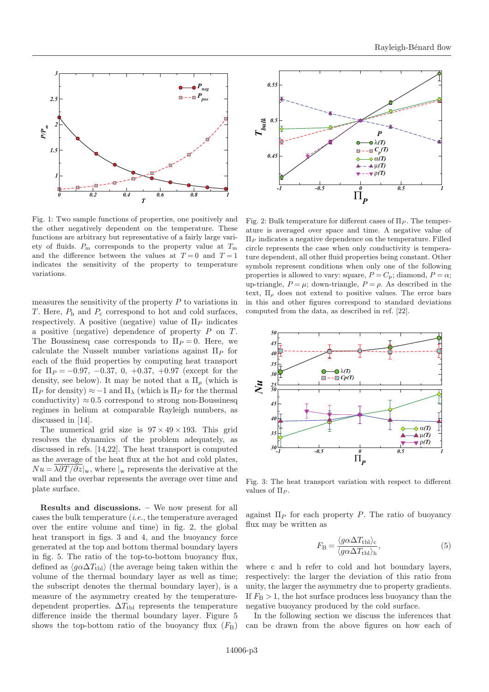

Fig. 1: Two sample functions of properties, one positively and the other negatively dependent on the temperature. These functions are arbitrary but representative of a fairly large variety of fluids.  $P_m$  corresponds to the property value at  $T_m$ and the difference between the values at  $T=0$  and  $T=1$ indicates the sensitivity of the property to temperature variations.

measures the sensitivity of the property  $P$  to variations in T. Here,  $P_h$  and  $P_c$  correspond to hot and cold surfaces, respectively. A positive (negative) value of  $\Pi_P$  indicates a positive (negative) dependence of property P on T. The Boussinesq case corresponds to  $\Pi_P = 0$ . Here, we calculate the Nusselt number variations against  $\Pi_P$  for each of the fluid properties by computing heat transport for  $\Pi_P = -0.97, -0.37, 0, +0.37, +0.97$  (except for the density, see below). It may be noted that a  $\Pi_{\rho}$  (which is  $\Pi_P$  for density) ≈ −1 and  $\Pi_\lambda$  (which is  $\Pi_P$  for the thermal conductivity)  $\approx 0.5$  correspond to strong non-Boussinesq regimes in helium at comparable Rayleigh numbers, as discussed in [14].

The numerical grid size is  $97 \times 49 \times 193$ . This grid resolves the dynamics of the problem adequately, as discussed in refs. [14,22]. The heat transport is computed as the average of the heat flux at the hot and cold plates,  $Nu = \lambda \frac{\partial T}{\partial z}\vert_{w}$ , where  $\vert_{w}$  represents the derivative at the wall and the overbar represents the average over time and plate surface.

Results and discussions. – We now present for all cases the bulk temperature (i.e., the temperature averaged over the entire volume and time) in fig. 2, the global heat transport in figs. 3 and 4, and the buoyancy force generated at the top and bottom thermal boundary layers in fig. 5. The ratio of the top-to-bottom buoyancy flux, defined as  $\langle g \alpha \Delta T_{\text{th}} \rangle$  (the average being taken within the volume of the thermal boundary layer as well as time; the subscript denotes the thermal boundary layer), is a measure of the asymmetry created by the temperaturedependent properties.  $\Delta T_{\text{th}}$  represents the temperature difference inside the thermal boundary layer. Figure 5 shows the top-bottom ratio of the buoyancy flux  $(F<sub>B</sub>)$ 



Fig. 2: Bulk temperature for different cases of  $\Pi_P$ . The temperature is averaged over space and time. A negative value of  $\Pi_P$  indicates a negative dependence on the temperature. Filled circle represents the case when only conductivity is temperature dependent, all other fluid properties being constant. Other symbols represent conditions when only one of the following properties is allowed to vary: square,  $P = C_p$ ; diamond,  $P = \alpha$ ; up-triangle,  $P = \mu$ ; down-triangle,  $P = \rho$ . As described in the text,  $\Pi_{\rho}$  does not extend to positive values. The error bars in this and other figures correspond to standard deviations computed from the data, as described in ref. [22].



Fig. 3: The heat transport variation with respect to different values of  $\Pi_P$ .

against  $\Pi_P$  for each property P. The ratio of buoyancy flux may be written as

$$
F_{\rm B} = \frac{\langle g \alpha \Delta T_{\rm tb1} \rangle_{\rm c}}{\langle g \alpha \Delta T_{\rm tb1} \rangle_{\rm h}},\tag{5}
$$

where c and h refer to cold and hot boundary layers, respectively: the larger the deviation of this ratio from unity, the larger the asymmetry due to property gradients. If  $F_{\rm B} > 1$ , the hot surface produces less buoyancy than the negative buoyancy produced by the cold surface.

In the following section we discuss the inferences that can be drawn from the above figures on how each of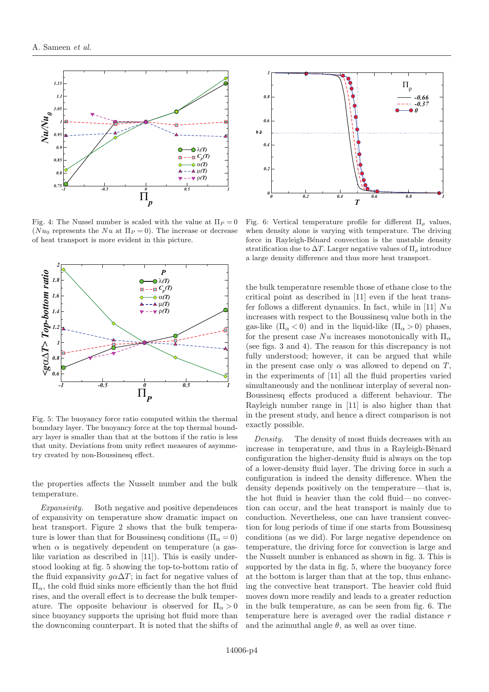

Fig. 4: The Nussel number is scaled with the value at  $\Pi_P = 0$ ( $Nu_0$  represents the  $Nu$  at  $\Pi_P = 0$ ). The increase or decrease of heat transport is more evident in this picture.



Fig. 5: The buoyancy force ratio computed within the thermal boundary layer. The buoyancy force at the top thermal boundary layer is smaller than that at the bottom if the ratio is less that unity. Deviations from unity reflect measures of asymmetry created by non-Boussinesq effect.

the properties affects the Nusselt number and the bulk temperature.

Expansivity. Both negative and positive dependences of expansivity on temperature show dramatic impact on heat transport. Figure 2 shows that the bulk temperature is lower than that for Boussinesq conditions  $(\Pi_{\alpha} = 0)$ when  $\alpha$  is negatively dependent on temperature (a gaslike variation as described in [11]). This is easily understood looking at fig. 5 showing the top-to-bottom ratio of the fluid expansivity  $g\alpha\Delta T$ ; in fact for negative values of  $\Pi_{\alpha}$ , the cold fluid sinks more efficiently than the hot fluid rises, and the overall effect is to decrease the bulk temperature. The opposite behaviour is observed for  $\Pi_{\alpha} > 0$ since buoyancy supports the uprising hot fluid more than the downcoming counterpart. It is noted that the shifts of



Fig. 6: Vertical temperature profile for different  $\Pi_{\rho}$  values, when density alone is varying with temperature. The driving force in Rayleigh-Bénard convection is the unstable density stratification due to  $\Delta T$ . Larger negative values of  $\Pi_{\rho}$  introduce a large density difference and thus more heat transport.

the bulk temperature resemble those of ethane close to the critical point as described in [11] even if the heat transfer follows a different dynamics. In fact, while in [11]  $Nu$ increases with respect to the Boussinesq value both in the gas-like  $(\Pi_{\alpha} < 0)$  and in the liquid-like  $(\Pi_{\alpha} > 0)$  phases, for the present case  $Nu$  increases monotonically with  $\Pi_{\alpha}$ (see figs. 3 and 4). The reason for this discrepancy is not fully understood; however, it can be argued that while in the present case only  $\alpha$  was allowed to depend on T, in the experiments of [11] all the fluid properties varied simultaneously and the nonlinear interplay of several non-Boussinesq effects produced a different behaviour. The Rayleigh number range in [11] is also higher than that in the present study, and hence a direct comparison is not exactly possible.

Density. The density of most fluids decreases with an increase in temperature, and thus in a Rayleigh-Bènard configuration the higher-density fluid is always on the top of a lower-density fluid layer. The driving force in such a configuration is indeed the density difference. When the density depends positively on the temperature —that is, the hot fluid is heavier than the cold fluid— no convection can occur, and the heat transport is mainly due to conduction. Nevertheless, one can have transient convection for long periods of time if one starts from Boussinesq conditions (as we did). For large negative dependence on temperature, the driving force for convection is large and the Nusselt number is enhanced as shown in fig. 3. This is supported by the data in fig. 5, where the buoyancy force at the bottom is larger than that at the top, thus enhancing the convective heat transport. The heavier cold fluid moves down more readily and leads to a greater reduction in the bulk temperature, as can be seen from fig. 6. The temperature here is averaged over the radial distance r and the azimuthal angle  $\theta$ , as well as over time.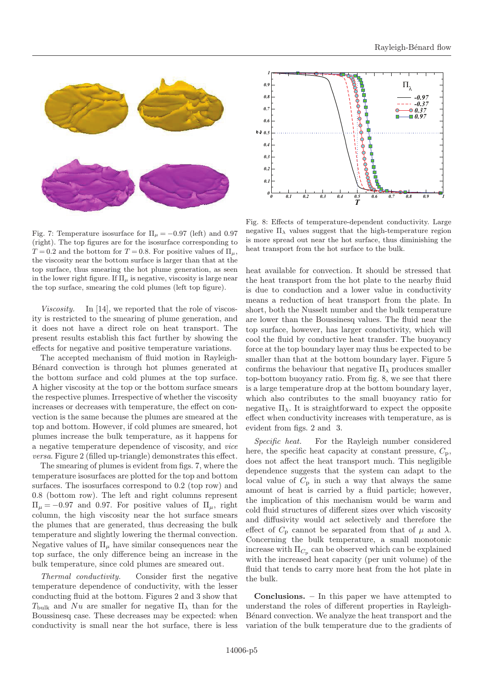

Fig. 7: Temperature isosurface for  $\Pi_{\mu} = -0.97$  (left) and 0.97 (right). The top figures are for the isosurface corresponding to  $T = 0.2$  and the bottom for  $T = 0.8$ . For positive values of  $\Pi_{\mu}$ , the viscosity near the bottom surface is larger than that at the top surface, thus smearing the hot plume generation, as seen in the lower right figure. If  $\Pi_{\mu}$  is negative, viscosity is large near the top surface, smearing the cold plumes (left top figure).

Viscosity. In [14], we reported that the role of viscosity is restricted to the smearing of plume generation, and it does not have a direct role on heat transport. The present results establish this fact further by showing the effects for negative and positive temperature variations.

The accepted mechanism of fluid motion in Rayleigh-Bénard convection is through hot plumes generated at the bottom surface and cold plumes at the top surface. A higher viscosity at the top or the bottom surface smears the respective plumes. Irrespective of whether the viscosity increases or decreases with temperature, the effect on convection is the same because the plumes are smeared at the top and bottom. However, if cold plumes are smeared, hot plumes increase the bulk temperature, as it happens for a negative temperature dependence of viscosity, and vice versa. Figure 2 (filled up-triangle) demonstrates this effect.

The smearing of plumes is evident from figs. 7, where the temperature isosurfaces are plotted for the top and bottom surfaces. The isosurfaces correspond to 0.2 (top row) and 0.8 (bottom row). The left and right columns represent  $\Pi_{\mu} = -0.97$  and 0.97. For positive values of  $\Pi_{\mu}$ , right column, the high viscosity near the hot surface smears the plumes that are generated, thus decreasing the bulk temperature and slightly lowering the thermal convection. Negative values of  $\Pi_{\mu}$  have similar consequences near the top surface, the only difference being an increase in the bulk temperature, since cold plumes are smeared out.

Thermal conductivity. Consider first the negative temperature dependence of conductivity, with the lesser conducting fluid at the bottom. Figures 2 and 3 show that  $T_{\text{bulk}}$  and  $Nu$  are smaller for negative  $\Pi_{\lambda}$  than for the Boussinesq case. These decreases may be expected: when conductivity is small near the hot surface, there is less



Fig. 8: Effects of temperature-dependent conductivity. Large negative  $\Pi_{\lambda}$  values suggest that the high-temperature region is more spread out near the hot surface, thus diminishing the heat transport from the hot surface to the bulk.

heat available for convection. It should be stressed that the heat transport from the hot plate to the nearby fluid is due to conduction and a lower value in conductivity means a reduction of heat transport from the plate. In short, both the Nusselt number and the bulk temperature are lower than the Boussinesq values. The fluid near the top surface, however, has larger conductivity, which will cool the fluid by conductive heat transfer. The buoyancy force at the top boundary layer may thus be expected to be smaller than that at the bottom boundary layer. Figure 5 confirms the behaviour that negative  $\Pi_{\lambda}$  produces smaller top-bottom buoyancy ratio. From fig. 8, we see that there is a large temperature drop at the bottom boundary layer, which also contributes to the small buoyancy ratio for negative  $\Pi_{\lambda}$ . It is straightforward to expect the opposite effect when conductivity increases with temperature, as is evident from figs. 2 and 3.

Specific heat. For the Rayleigh number considered here, the specific heat capacity at constant pressure,  $C_p$ , does not affect the heat transport much. This negligible dependence suggests that the system can adapt to the local value of  $C_p$  in such a way that always the same amount of heat is carried by a fluid particle; however, the implication of this mechanism would be warm and cold fluid structures of different sizes over which viscosity and diffusivity would act selectively and therefore the effect of  $C_p$  cannot be separated from that of  $\mu$  and  $\lambda$ . Concerning the bulk temperature, a small monotonic increase with  $\Pi_{C_p}$  can be observed which can be explained with the increased heat capacity (per unit volume) of the fluid that tends to carry more heat from the hot plate in the bulk.

Conclusions. – In this paper we have attempted to understand the roles of different properties in Rayleigh-Bénard convection. We analyze the heat transport and the variation of the bulk temperature due to the gradients of